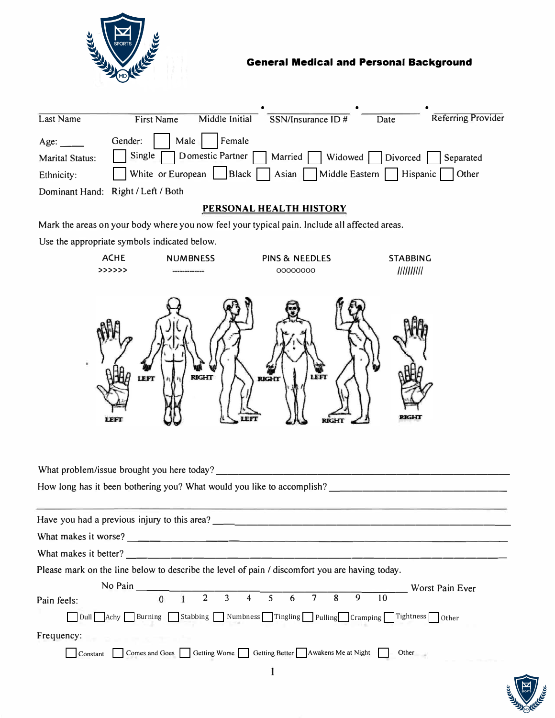

| Last Name              | Middle Initial<br><b>First Name</b>                                                                  | SSN/Insurance ID # | Date | <b>Referring Provider</b> |
|------------------------|------------------------------------------------------------------------------------------------------|--------------------|------|---------------------------|
|                        |                                                                                                      |                    |      |                           |
| Age:                   | Male<br>Gender:<br>Female                                                                            |                    |      |                           |
| <b>Marital Status:</b> | $\Box$ Single $\Box$ Domestic Partner $\Box$ Married $\Box$ Widowed $\Box$ Divorced $\Box$ Separated |                    |      |                           |
| Ethnicity:             | White or European   Black   Asian   Middle Eastern   Hispanic   Other                                |                    |      |                           |
|                        | Dominant Hand: Right / Left / Both                                                                   |                    |      |                           |

## **PERSONAL HEALTH HISTORY**

Mark the areas on your body where you now feel your typical pain. Include all affected areas.

Use the appropriate symbols indicated below.



What problem/issue brought you here today?

How long has it been bothering you? What would you like to accomplish?----------------

| Have you had a previous injury to this area?                                                   |                                                                       |  |  |                    |  |  |                 |
|------------------------------------------------------------------------------------------------|-----------------------------------------------------------------------|--|--|--------------------|--|--|-----------------|
| What makes it worse?                                                                           |                                                                       |  |  |                    |  |  |                 |
| What makes it better?                                                                          |                                                                       |  |  |                    |  |  |                 |
| Please mark on the line below to describe the level of pain / discomfort you are having today. |                                                                       |  |  |                    |  |  |                 |
| No Pain                                                                                        |                                                                       |  |  |                    |  |  | Worst Pain Ever |
| Pain feels:                                                                                    | $\Omega$                                                              |  |  | 2 3 4 5 6 7 8 9 10 |  |  |                 |
| Dull Achy Burning Stabbing Numbness Tingling Pulling Cramping Tightness Other                  |                                                                       |  |  |                    |  |  |                 |
| Frequency:                                                                                     |                                                                       |  |  |                    |  |  |                 |
| Constant                                                                                       | Comes and Goes   Getting Worse   Getting Better   Awakens Me at Night |  |  |                    |  |  | Other           |

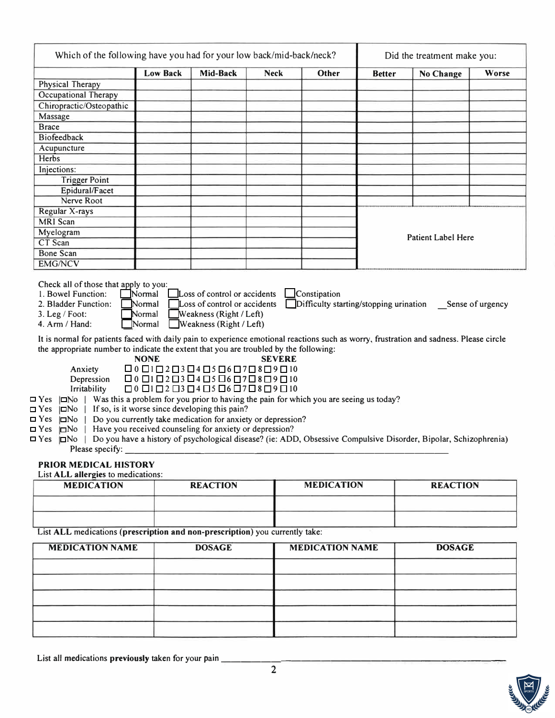|                                                                                                                                                                                                                                                                                                                                                                                   | Which of the following have you had for your low back/mid-back/neck? |                                                                                                                                                                                                                                                                                                                                                                                 |               |                   |               | Did the treatment make you:                                                                                      |       |  |  |
|-----------------------------------------------------------------------------------------------------------------------------------------------------------------------------------------------------------------------------------------------------------------------------------------------------------------------------------------------------------------------------------|----------------------------------------------------------------------|---------------------------------------------------------------------------------------------------------------------------------------------------------------------------------------------------------------------------------------------------------------------------------------------------------------------------------------------------------------------------------|---------------|-------------------|---------------|------------------------------------------------------------------------------------------------------------------|-------|--|--|
|                                                                                                                                                                                                                                                                                                                                                                                   | <b>Low Back</b>                                                      | Mid-Back                                                                                                                                                                                                                                                                                                                                                                        | <b>Neck</b>   | <b>Other</b>      | <b>Better</b> | <b>No Change</b>                                                                                                 | Worse |  |  |
| Physical Therapy                                                                                                                                                                                                                                                                                                                                                                  |                                                                      |                                                                                                                                                                                                                                                                                                                                                                                 |               |                   |               |                                                                                                                  |       |  |  |
| Occupational Therapy                                                                                                                                                                                                                                                                                                                                                              |                                                                      |                                                                                                                                                                                                                                                                                                                                                                                 |               |                   |               |                                                                                                                  |       |  |  |
| Chiropractic/Osteopathic                                                                                                                                                                                                                                                                                                                                                          |                                                                      |                                                                                                                                                                                                                                                                                                                                                                                 |               |                   |               |                                                                                                                  |       |  |  |
| Massage                                                                                                                                                                                                                                                                                                                                                                           |                                                                      |                                                                                                                                                                                                                                                                                                                                                                                 |               |                   |               |                                                                                                                  |       |  |  |
| <b>Brace</b>                                                                                                                                                                                                                                                                                                                                                                      |                                                                      |                                                                                                                                                                                                                                                                                                                                                                                 |               |                   |               |                                                                                                                  |       |  |  |
| <b>Biofeedback</b>                                                                                                                                                                                                                                                                                                                                                                |                                                                      |                                                                                                                                                                                                                                                                                                                                                                                 |               |                   |               |                                                                                                                  |       |  |  |
| Acupuncture                                                                                                                                                                                                                                                                                                                                                                       |                                                                      |                                                                                                                                                                                                                                                                                                                                                                                 |               |                   |               |                                                                                                                  |       |  |  |
| Herbs                                                                                                                                                                                                                                                                                                                                                                             |                                                                      |                                                                                                                                                                                                                                                                                                                                                                                 |               |                   |               |                                                                                                                  |       |  |  |
| Injections:                                                                                                                                                                                                                                                                                                                                                                       |                                                                      |                                                                                                                                                                                                                                                                                                                                                                                 |               |                   |               |                                                                                                                  |       |  |  |
| <b>Trigger Point</b>                                                                                                                                                                                                                                                                                                                                                              |                                                                      |                                                                                                                                                                                                                                                                                                                                                                                 |               |                   |               |                                                                                                                  |       |  |  |
| Epidural/Facet                                                                                                                                                                                                                                                                                                                                                                    |                                                                      |                                                                                                                                                                                                                                                                                                                                                                                 |               |                   |               |                                                                                                                  |       |  |  |
| Nerve Root                                                                                                                                                                                                                                                                                                                                                                        |                                                                      |                                                                                                                                                                                                                                                                                                                                                                                 |               |                   |               |                                                                                                                  |       |  |  |
| Regular X-rays                                                                                                                                                                                                                                                                                                                                                                    |                                                                      |                                                                                                                                                                                                                                                                                                                                                                                 |               |                   |               |                                                                                                                  |       |  |  |
| <b>MRI</b> Scan                                                                                                                                                                                                                                                                                                                                                                   |                                                                      |                                                                                                                                                                                                                                                                                                                                                                                 |               |                   |               |                                                                                                                  |       |  |  |
| Myelogram                                                                                                                                                                                                                                                                                                                                                                         |                                                                      |                                                                                                                                                                                                                                                                                                                                                                                 |               |                   |               | <b>Patient Label Here</b>                                                                                        |       |  |  |
| CT Scan                                                                                                                                                                                                                                                                                                                                                                           |                                                                      |                                                                                                                                                                                                                                                                                                                                                                                 |               |                   |               |                                                                                                                  |       |  |  |
| <b>Bone Scan</b>                                                                                                                                                                                                                                                                                                                                                                  |                                                                      |                                                                                                                                                                                                                                                                                                                                                                                 |               |                   |               |                                                                                                                  |       |  |  |
| <b>EMG/NCV</b>                                                                                                                                                                                                                                                                                                                                                                    |                                                                      |                                                                                                                                                                                                                                                                                                                                                                                 |               |                   |               |                                                                                                                  |       |  |  |
| the appropriate number to indicate the extent that you are troubled by the following:<br>Anxiety<br>Depression<br>Irritability<br>$\Box$ Yes $\Box$ No   Was this a problem for you prior to having the pain for which you are seeing us today?<br>$\Box$ Yes $ \Box$ No   If so, is it worse since developing this pain?<br>$\Box$ Yes<br>$\Box$ No  <br>$\Box$ Yes<br>$\Box$ No | <b>NONE</b>                                                          | $\Box 0 \Box 1 \Box 2 \Box 3 \Box 4 \Box 5 \Box 6 \Box 7 \Box 8 \Box 9 \Box 10$<br>$\Box 0 \Box 1 \Box 2 \Box 3 \Box 4 \Box 5 \Box 6 \Box 7 \Box 8 \Box 9 \Box 10$<br>$\Box 0 \Box 1 \Box 2 \Box 3 \Box 4 \Box 5 \Box 6 \Box 7 \Box 8 \Box 9 \Box 10$<br>Do you currently take medication for anxiety or depression?<br>Have you received counseling for anxiety or depression? | <b>SEVERE</b> |                   |               |                                                                                                                  |       |  |  |
| Please specify: ____                                                                                                                                                                                                                                                                                                                                                              |                                                                      |                                                                                                                                                                                                                                                                                                                                                                                 |               |                   |               | Do you have a history of psychological disease? (ie: ADD, Obsessive Compulsive Disorder, Bipolar, Schizophrenia) |       |  |  |
|                                                                                                                                                                                                                                                                                                                                                                                   |                                                                      |                                                                                                                                                                                                                                                                                                                                                                                 |               |                   |               |                                                                                                                  |       |  |  |
| <b>MEDICATION</b>                                                                                                                                                                                                                                                                                                                                                                 |                                                                      | <b>REACTION</b>                                                                                                                                                                                                                                                                                                                                                                 |               | <b>MEDICATION</b> |               | <b>REACTION</b>                                                                                                  |       |  |  |
| $\Box$ Yes $\Box$ No  <br><b>PRIOR MEDICAL HISTORY</b><br>List ALL allergies to medications:                                                                                                                                                                                                                                                                                      |                                                                      |                                                                                                                                                                                                                                                                                                                                                                                 |               |                   |               |                                                                                                                  |       |  |  |
| List ALL medications (prescription and non-prescription) you currently take:                                                                                                                                                                                                                                                                                                      |                                                                      |                                                                                                                                                                                                                                                                                                                                                                                 |               |                   |               |                                                                                                                  |       |  |  |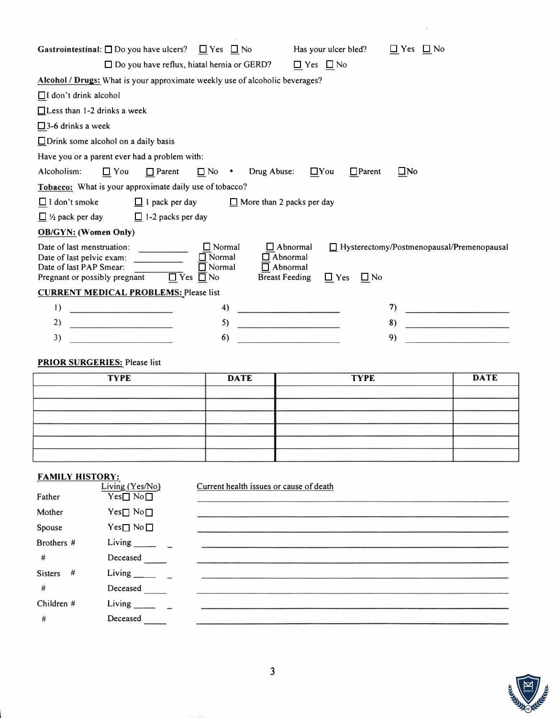| <b>Gastrointestinal:</b> $\square$ Do you have ulcers? $\square$ Yes $\square$ No                                                           |                                                                                                                                   | Has your ulcer bled?                | $\Box$ Yes $\Box$ No                             |
|---------------------------------------------------------------------------------------------------------------------------------------------|-----------------------------------------------------------------------------------------------------------------------------------|-------------------------------------|--------------------------------------------------|
| $\Box$ Do you have reflux, hiatal hernia or GERD?                                                                                           |                                                                                                                                   | $\Box$ Yes $\Box$ No                |                                                  |
| Alcohol / Drugs: What is your approximate weekly use of alcoholic beverages?                                                                |                                                                                                                                   |                                     |                                                  |
| $\Box$ I don't drink alcohol                                                                                                                |                                                                                                                                   |                                     |                                                  |
| $\Box$ Less than 1-2 drinks a week                                                                                                          |                                                                                                                                   |                                     |                                                  |
| $\square$ 3-6 drinks a week                                                                                                                 |                                                                                                                                   |                                     |                                                  |
| $\Box$ Drink some alcohol on a daily basis                                                                                                  |                                                                                                                                   |                                     |                                                  |
| Have you or a parent ever had a problem with:                                                                                               |                                                                                                                                   |                                     |                                                  |
| Alcoholism:<br>$\Box$ Parent<br>$\Box$ You                                                                                                  | $\Box$ No $\bullet$ Drug Abuse:                                                                                                   | $\Box$ You<br>$\Box$ Parent         | $\square$ No                                     |
| Tobacco: What is your approximate daily use of tobacco?                                                                                     |                                                                                                                                   |                                     |                                                  |
| $\Box$ I don't smoke<br>$\Box$ 1 pack per day                                                                                               | $\Box$ More than 2 packs per day                                                                                                  |                                     |                                                  |
| $\Box$ 1/2 pack per day $\Box$ 1-2 packs per day                                                                                            |                                                                                                                                   |                                     |                                                  |
| <b>OB/GYN: (Women Only)</b>                                                                                                                 |                                                                                                                                   |                                     |                                                  |
| Date of last menstruation:<br>Date of last pelvic exam:<br>Date of last PAP Smear:<br>$\Box$ Yes $\Box$ No<br>Pregnant or possibly pregnant | $\Box$ Normal<br>$\Box$ Abnormal<br>$\Box$ Abnormal<br>$\Box$ Normal<br>$\Box$ Normal<br>$\Box$ Abnormal<br><b>Breast Feeding</b> | $\Box$ No<br>$\Box$ Yes             | $\Box$ Hysterectomy/Postmenopausal/Premenopausal |
| <b>CURRENT MEDICAL PROBLEMS: Please list</b>                                                                                                |                                                                                                                                   |                                     |                                                  |
| <u> 1989 - Johann Harry Harry Barnett, amerikan</u><br>$_{1}$                                                                               | 4)                                                                                                                                | <u> De Santa Carlos de Santa Ca</u> | 7)                                               |
| 2)                                                                                                                                          | 5)                                                                                                                                | <u> 2000 - Alexander State</u>      | 8)<br><u> La Carlo Carlo de la C</u>             |
| 3)                                                                                                                                          | 6)                                                                                                                                |                                     | 9)                                               |

## **PRIOR SURGERIES:** Please list

| <b>TYPE</b> | <b>DATE</b> | <b>TYPE</b> | <b>DATE</b> |
|-------------|-------------|-------------|-------------|
|             |             |             |             |
|             |             |             |             |
|             |             |             |             |
|             |             |             |             |
|             |             |             |             |
|             |             |             |             |

## **FAMILY HISTORY:**

|                     | Living (Yes/No)    | Current health issues or cause of death                                                                               |
|---------------------|--------------------|-----------------------------------------------------------------------------------------------------------------------|
| Father              | $Yes \Box No \Box$ | the company of the company's company's company's the                                                                  |
| Mother              | $Yes \Box No \Box$ |                                                                                                                       |
| Spouse              | $Yes \Box No \Box$ |                                                                                                                       |
| Brothers #          | Living ______ _    | <u> 1953 - Johann Marie Barristo, martin amerikan mengana menganakan pada tahun 1964. Ia pertama pada tahun 1964 </u> |
| #                   | Deceased           |                                                                                                                       |
| <b>Sisters</b><br># | Living ________    |                                                                                                                       |
| #                   | Deceased           |                                                                                                                       |
| Children $#$        | Living $\qquad$    |                                                                                                                       |
| #                   | Deceased           |                                                                                                                       |
|                     |                    |                                                                                                                       |